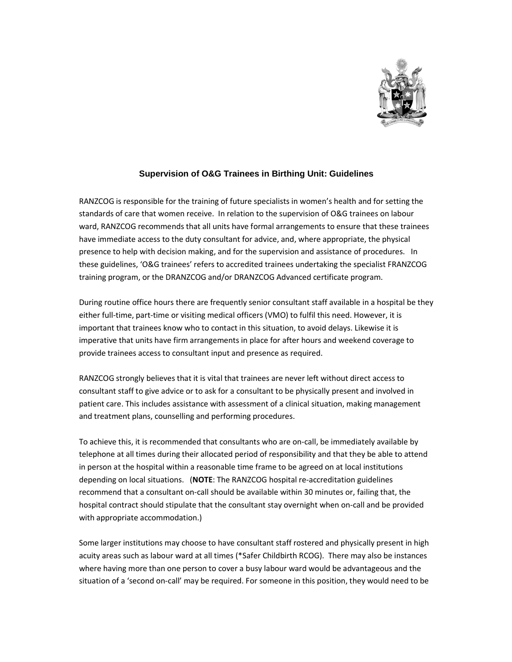

## **Supervision of O&G Trainees in Birthing Unit: Guidelines**

RANZCOG is responsible for the training of future specialists in women's health and for setting the standards of care that women receive. In relation to the supervision of O&G trainees on labour ward, RANZCOG recommends that all units have formal arrangements to ensure that these trainees have immediate access to the duty consultant for advice, and, where appropriate, the physical presence to help with decision making, and for the supervision and assistance of procedures. In these guidelines, 'O&G trainees' refers to accredited trainees undertaking the specialist FRANZCOG training program, or the DRANZCOG and/or DRANZCOG Advanced certificate program.

During routine office hours there are frequently senior consultant staff available in a hospital be they either full-time, part-time or visiting medical officers (VMO) to fulfil this need. However, it is important that trainees know who to contact in this situation, to avoid delays. Likewise it is imperative that units have firm arrangements in place for after hours and weekend coverage to provide trainees access to consultant input and presence as required.

RANZCOG strongly believes that it is vital that trainees are never left without direct access to consultant staff to give advice or to ask for a consultant to be physically present and involved in patient care. This includes assistance with assessment of a clinical situation, making management and treatment plans, counselling and performing procedures.

To achieve this, it is recommended that consultants who are on-call, be immediately available by telephone at all times during their allocated period of responsibility and that they be able to attend in person at the hospital within a reasonable time frame to be agreed on at local institutions depending on local situations. (**NOTE**: The RANZCOG hospital re-accreditation guidelines recommend that a consultant on-call should be available within 30 minutes or, failing that, the hospital contract should stipulate that the consultant stay overnight when on-call and be provided with appropriate accommodation.)

Some larger institutions may choose to have consultant staff rostered and physically present in high acuity areas such as labour ward at all times (\*Safer Childbirth RCOG). There may also be instances where having more than one person to cover a busy labour ward would be advantageous and the situation of a 'second on-call' may be required. For someone in this position, they would need to be